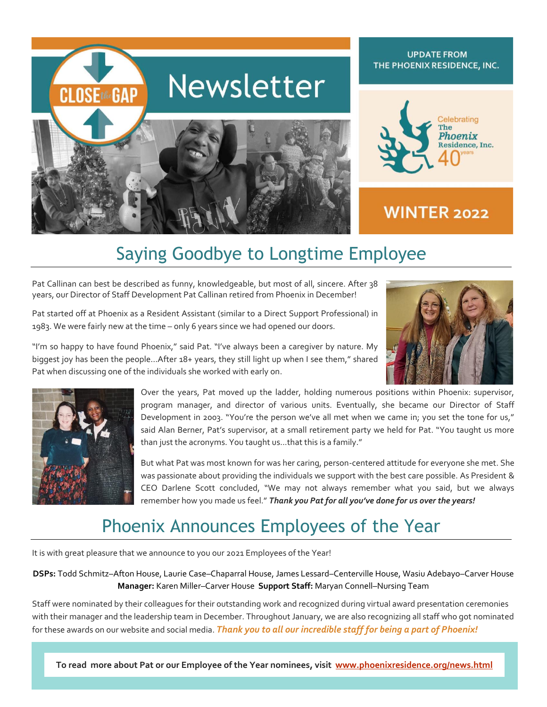

# Saying Goodbye to Longtime Employee

Pat Callinan can best be described as funny, knowledgeable, but most of all, sincere. After 38 years, our Director of Staff Development Pat Callinan retired from Phoenix in December!

Pat started off at Phoenix as a Resident Assistant (similar to a Direct Support Professional) in 1983. We were fairly new at the time – only 6 years since we had opened our doors.

"I'm so happy to have found Phoenix," said Pat. "I've always been a caregiver by nature. My biggest joy has been the people…After 18+ years, they still light up when I see them," shared

Pat when discussing one of the individuals she worked with early on.





Over the years, Pat moved up the ladder, holding numerous positions within Phoenix: supervisor, program manager, and director of various units. Eventually, she became our Director of Staff Development in 2003. "You're the person we've all met when we came in; you set the tone for us," said Alan Berner, Pat's supervisor, at a small retirement party we held for Pat. "You taught us more than just the acronyms. You taught us...that this is a family."

But what Pat was most known for was her caring, person-centered attitude for everyone she met. She was passionate about providing the individuals we support with the best care possible. As President & CEO Darlene Scott concluded, "We may not always remember what you said, but we always remember how you made us feel." *Thank you Pat for all you've done for us over the years!*

## Phoenix Announces Employees of the Year

It is with great pleasure that we announce to you our 2021 Employees of the Year!

**DSPs:** Todd Schmitz–Afton House, Laurie Case–Chaparral House, James Lessard–Centerville House, Wasiu Adebayo–Carver House **Manager:** Karen Miller–Carver House **Support Staff:** Maryan Connell–Nursing Team

Staff were nominated by their colleagues for their outstanding work and recognized during virtual award presentation ceremonies with their manager and the leadership team in December. Throughout January, we are also recognizing all staff who got nominated for these awards on our website and social media. *Thank you to all our incredible staff for being a part of Phoenix!*

**UPDATE FROM THE PHOENIX RESIDENCE, INC. To read more about Pat or our Employee of the Year nominees, visit [www.phoenixresidence.org/news.html](http://www.phoenixresidence.org/news.html)**